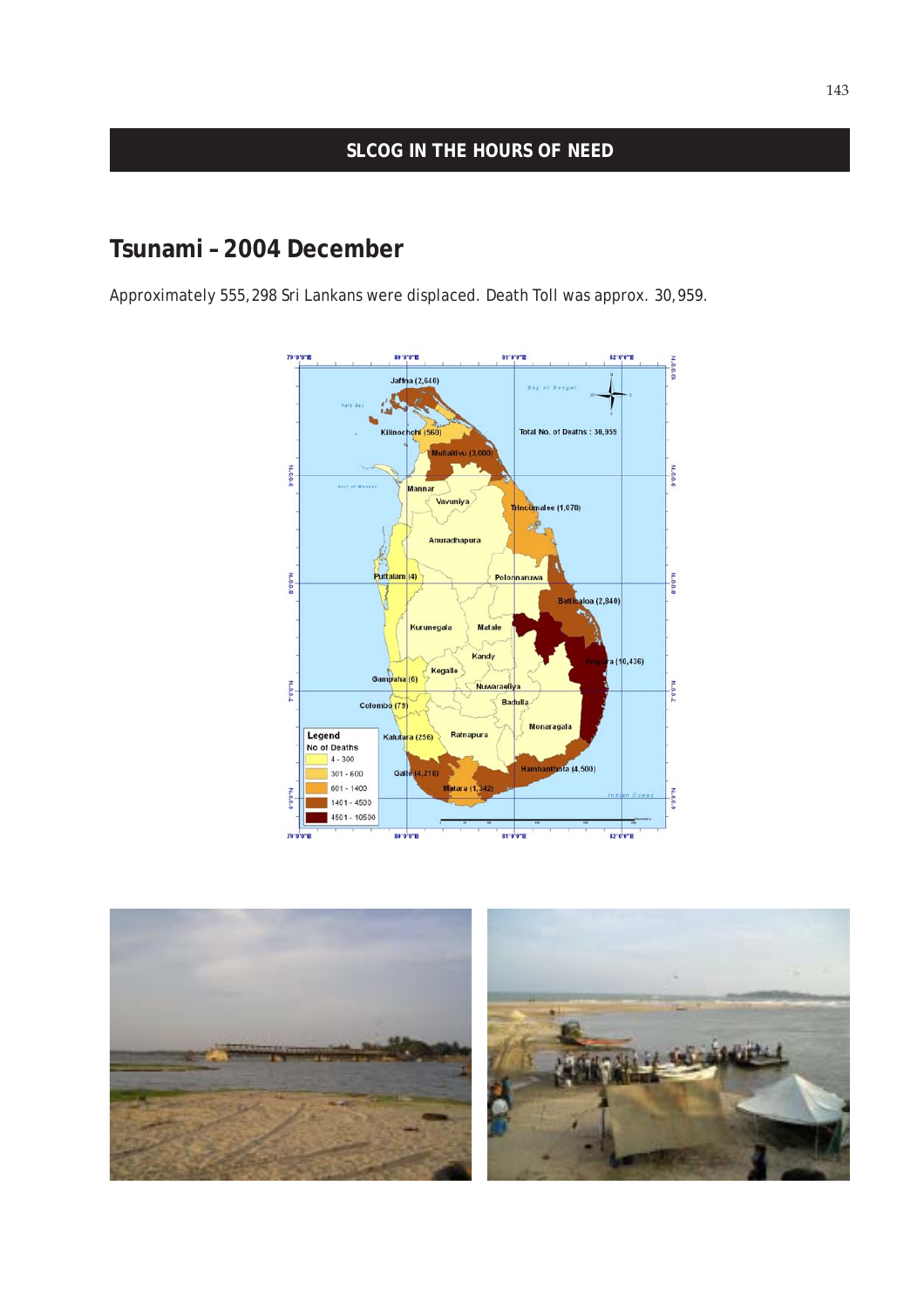### **SLCOG IN THE HOURS OF NEED**

# **Tsunami – 2004 December**

Approximately 555,298 Sri Lankans were displaced. Death Toll was approx. 30,959.



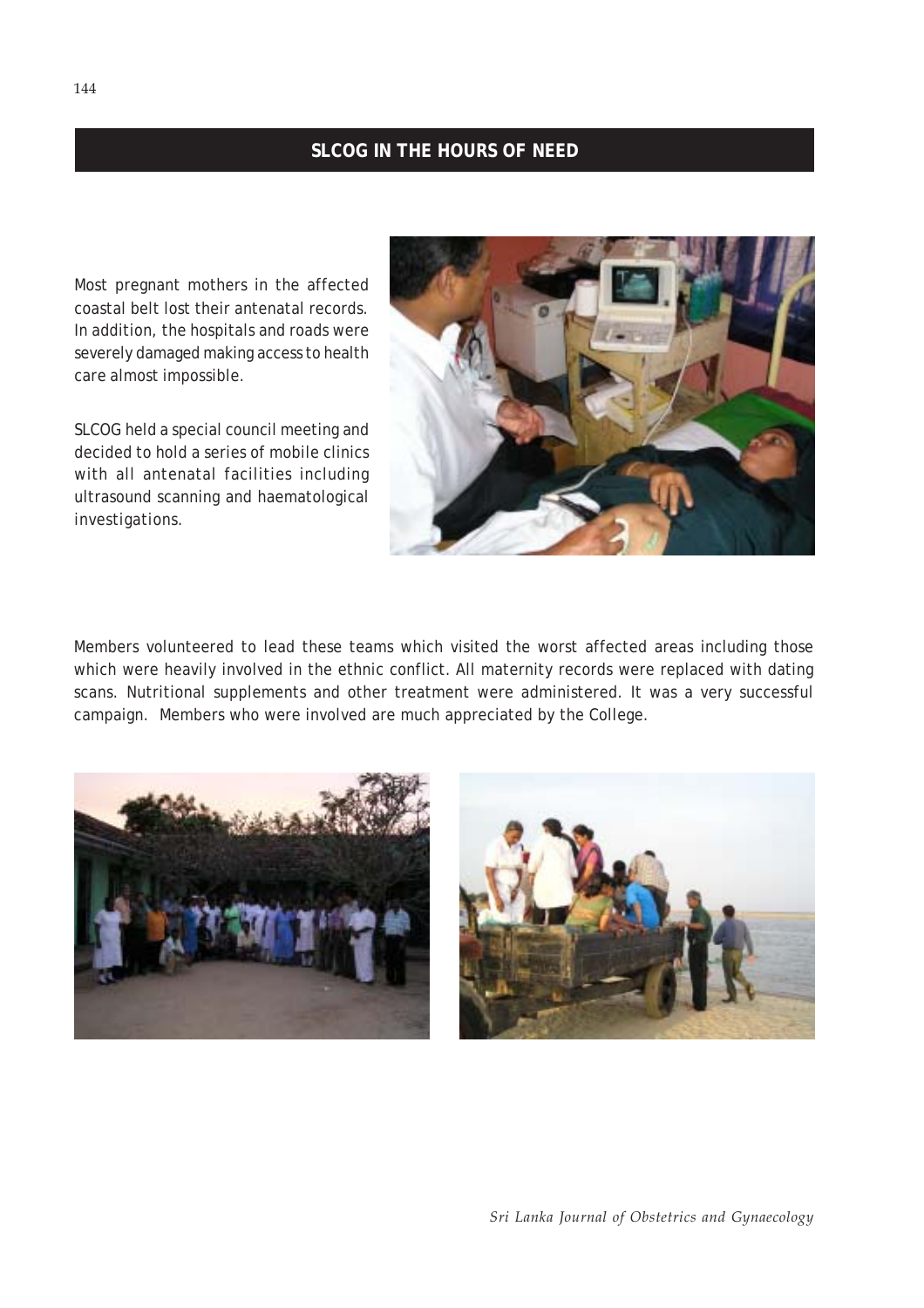### **SLCOG IN THE HOURS OF NEED**

Most pregnant mothers in the affected coastal belt lost their antenatal records. In addition, the hospitals and roads were severely damaged making access to health care almost impossible.

SLCOG held a special council meeting and decided to hold a series of mobile clinics with all antenatal facilities including ultrasound scanning and haematological investigations.



Members volunteered to lead these teams which visited the worst affected areas including those which were heavily involved in the ethnic conflict. All maternity records were replaced with dating scans. Nutritional supplements and other treatment were administered. It was a very successful campaign. Members who were involved are much appreciated by the College.



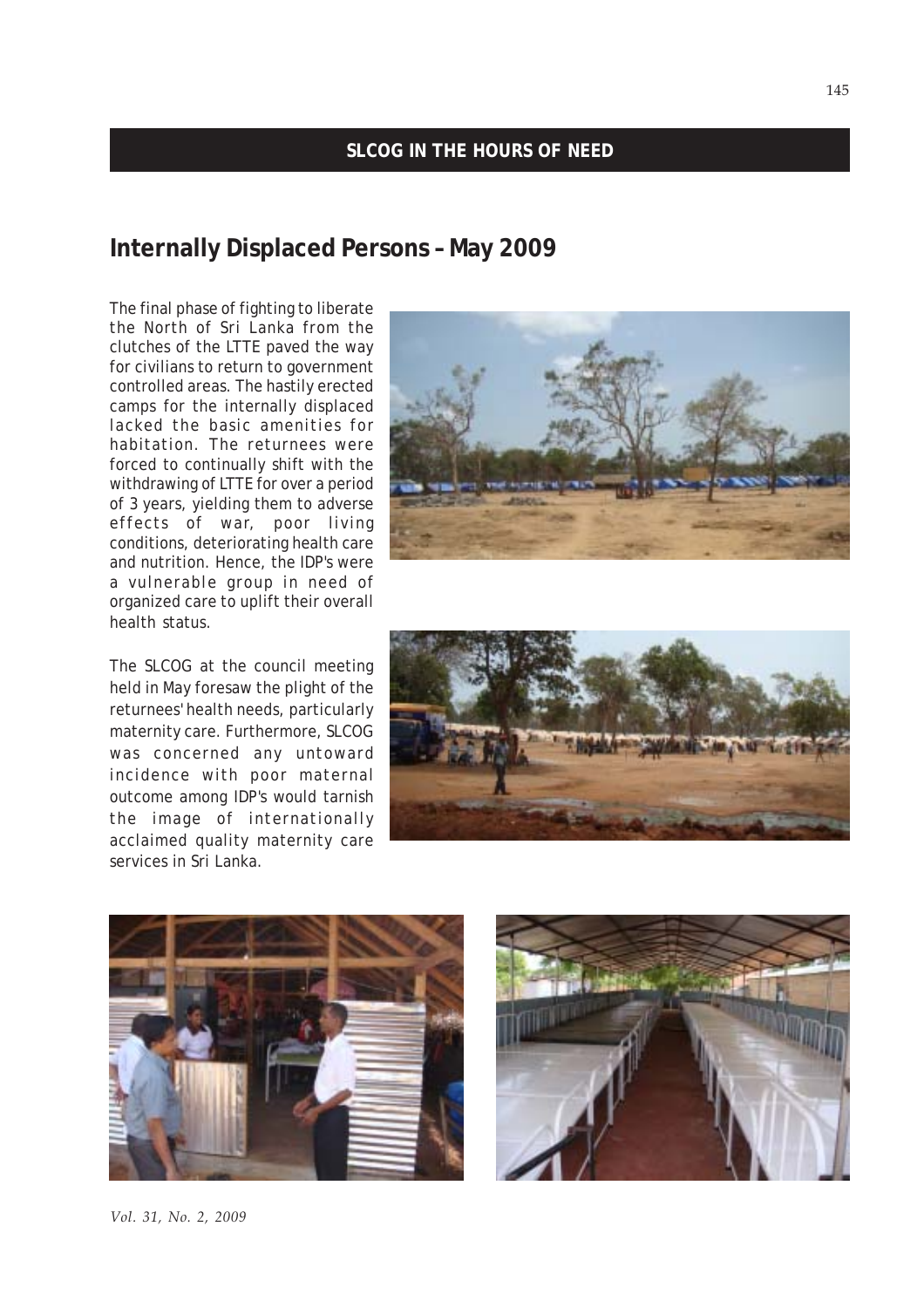### **SLCOG IN THE HOURS OF NEED**

## **Internally Displaced Persons – May 2009**

The final phase of fighting to liberate the North of Sri Lanka from the clutches of the LTTE paved the way for civilians to return to government controlled areas. The hastily erected camps for the internally displaced lacked the basic amenities for habitation. The returnees were forced to continually shift with the withdrawing of LTTE for over a period of 3 years, yielding them to adverse effects of war, poor living conditions, deteriorating health care and nutrition. Hence, the IDP's were a vulnerable group in need of organized care to uplift their overall health status.

The SLCOG at the council meeting held in May foresaw the plight of the returnees' health needs, particularly maternity care. Furthermore, SLCOG was concerned any untoward incidence with poor maternal outcome among IDP's would tarnish the image of internationally acclaimed quality maternity care services in Sri Lanka.









145

#### *Vol. 31, No. 2, 2009*